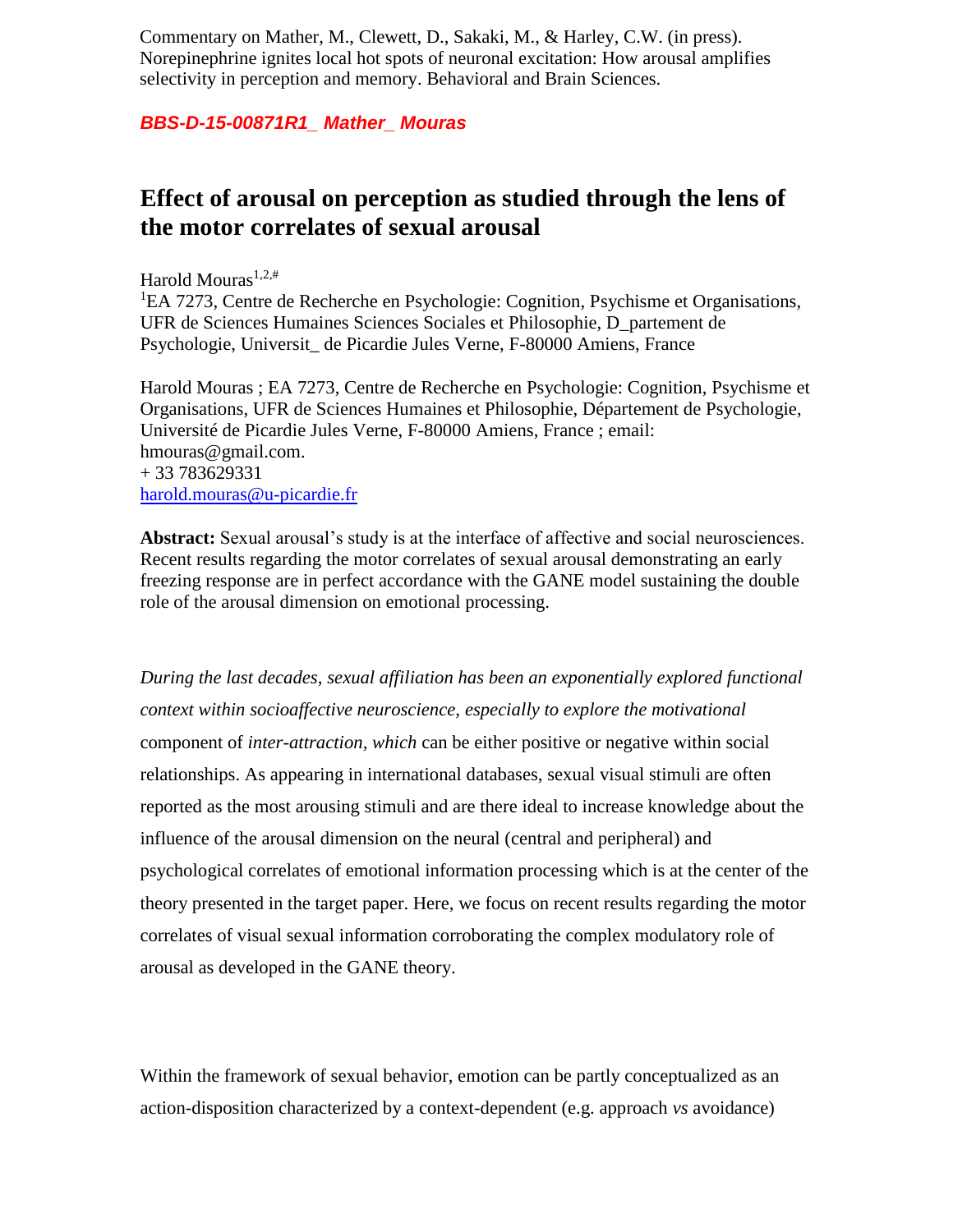Commentary on Mather, M., Clewett, D., Sakaki, M., & Harley, C.W. (in press). Norepinephrine ignites local hot spots of neuronal excitation: How arousal amplifies selectivity in perception and memory. Behavioral and Brain Sciences.

## *BBS-D-15-00871R1\_ Mather\_ Mouras*

## **Effect of arousal on perception as studied through the lens of the motor correlates of sexual arousal**

Harold Mouras<sup>1</sup>*,*2*,*#

<sup>1</sup>EA 7273, Centre de Recherche en Psychologie: Cognition, Psychisme et Organisations, UFR de Sciences Humaines Sciences Sociales et Philosophie, D\_partement de Psychologie, Universit\_ de Picardie Jules Verne, F-80000 Amiens, France

Harold Mouras ; EA 7273, Centre de Recherche en Psychologie: Cognition, Psychisme et Organisations, UFR de Sciences Humaines et Philosophie, Département de Psychologie, Université de Picardie Jules Verne, F-80000 Amiens, France ; email: hmouras@gmail.com. + 33 783629331 [harold.mouras@u-picardie.fr](mailto:harold.mouras@u-picardie.fr)

**Abstract:** Sexual arousal's study is at the interface of affective and social neurosciences. Recent results regarding the motor correlates of sexual arousal demonstrating an early freezing response are in perfect accordance with the GANE model sustaining the double role of the arousal dimension on emotional processing.

*During the last decades, sexual affiliation has been an exponentially explored functional context within socioaffective neuroscience, especially to explore the motivational*  component of *inter-attraction, which* can be either positive or negative within social relationships. As appearing in international databases, sexual visual stimuli are often reported as the most arousing stimuli and are there ideal to increase knowledge about the influence of the arousal dimension on the neural (central and peripheral) and psychological correlates of emotional information processing which is at the center of the theory presented in the target paper. Here, we focus on recent results regarding the motor correlates of visual sexual information corroborating the complex modulatory role of arousal as developed in the GANE theory.

Within the framework of sexual behavior, emotion can be partly conceptualized as an action-disposition characterized by a context-dependent (e.g. approach *vs* avoidance)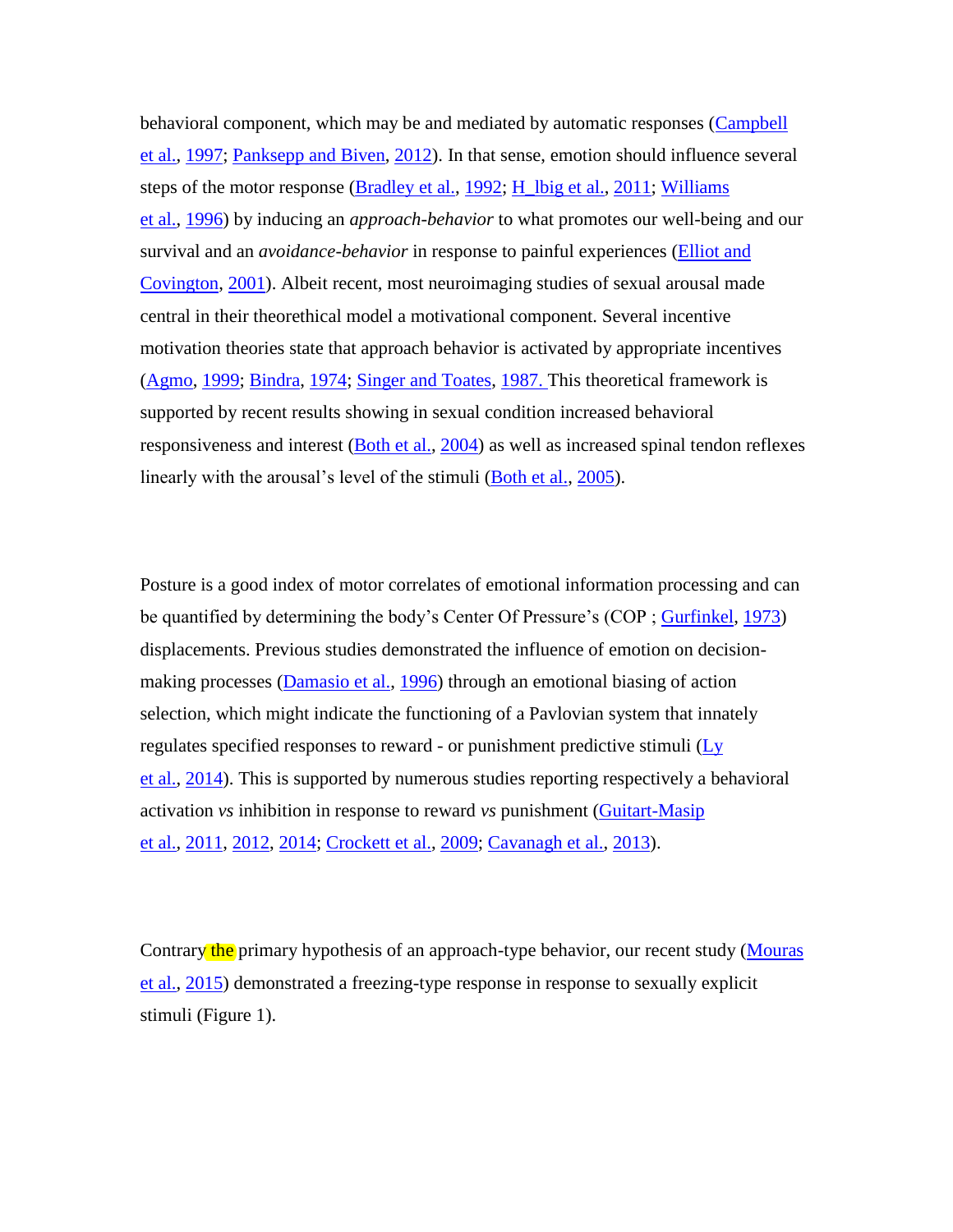behavioral component, which may be and mediated by automatic responses (Campbell et al., 1997; Panksepp and Biven, 2012). In that sense, emotion should influence several steps of the motor response (Bradley et al., 1992; H\_lbig et al., 2011; Williams et al., 1996) by inducing an *approach-behavior* to what promotes our well-being and our survival and an *avoidance-behavior* in response to painful experiences (Elliot and Covington, 2001). Albeit recent, most neuroimaging studies of sexual arousal made central in their theorethical model a motivational component. Several incentive motivation theories state that approach behavior is activated by appropriate incentives (Agmo, 1999; Bindra, 1974; Singer and Toates, 1987. This theoretical framework is supported by recent results showing in sexual condition increased behavioral responsiveness and interest (Both et al., 2004) as well as increased spinal tendon reflexes linearly with the arousal's level of the stimuli (Both et al., 2005).

Posture is a good index of motor correlates of emotional information processing and can be quantified by determining the body's Center Of Pressure's (COP ; Gurfinkel, 1973) displacements. Previous studies demonstrated the influence of emotion on decisionmaking processes (Damasio et al., 1996) through an emotional biasing of action selection, which might indicate the functioning of a Pavlovian system that innately regulates specified responses to reward - or punishment predictive stimuli (Ly et al., 2014). This is supported by numerous studies reporting respectively a behavioral activation *vs* inhibition in response to reward *vs* punishment (Guitart-Masip et al., 2011, 2012, 2014; Crockett et al., 2009; Cavanagh et al., 2013).

Contrary the primary hypothesis of an approach-type behavior, our recent study (Mouras et al., 2015) demonstrated a freezing-type response in response to sexually explicit stimuli (Figure 1).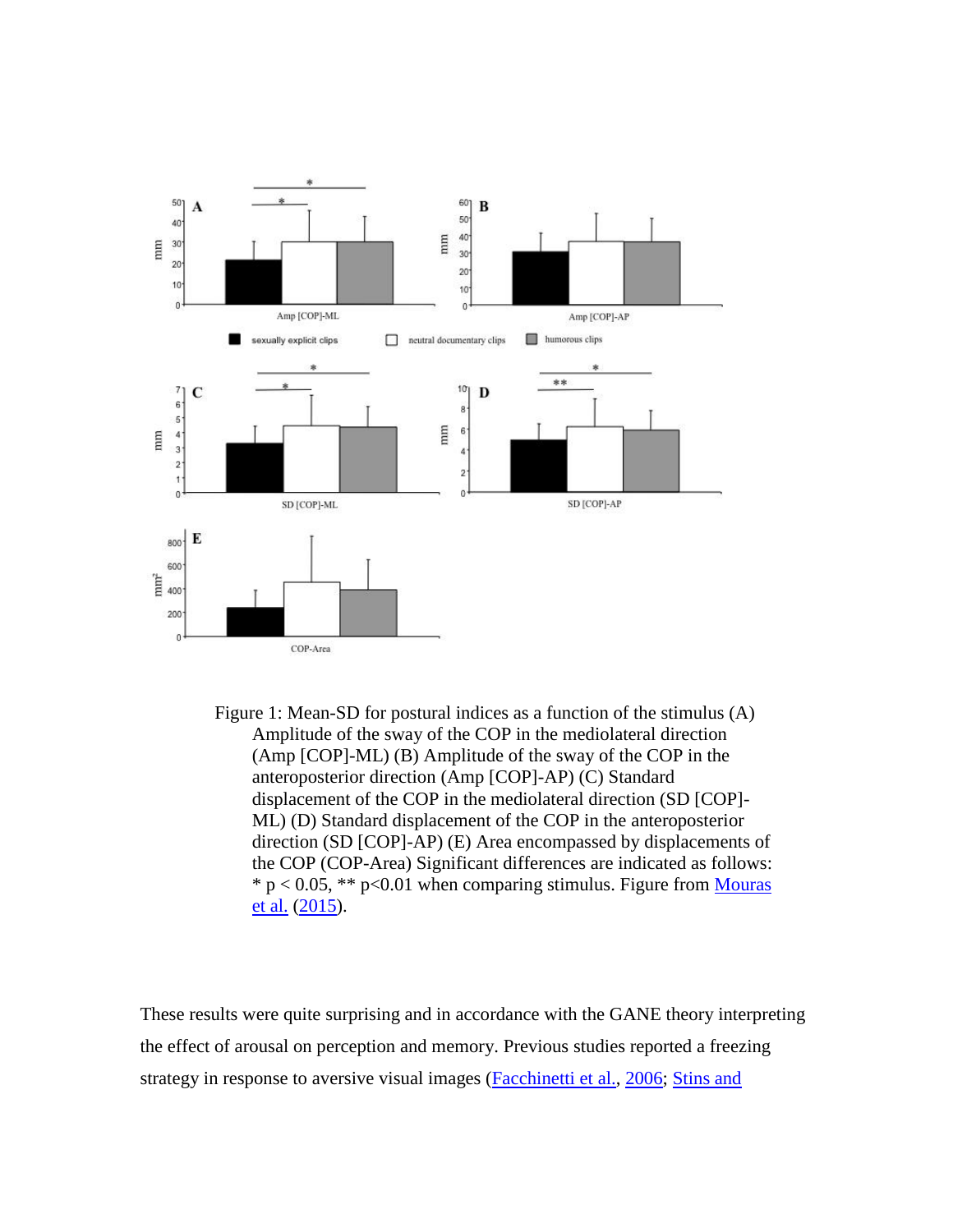

Figure 1: Mean-SD for postural indices as a function of the stimulus (A) Amplitude of the sway of the COP in the mediolateral direction (Amp [COP]-ML) (B) Amplitude of the sway of the COP in the anteroposterior direction (Amp [COP]-AP) (C) Standard displacement of the COP in the mediolateral direction (SD [COP]- ML) (D) Standard displacement of the COP in the anteroposterior direction (SD [COP]-AP) (E) Area encompassed by displacements of the COP (COP-Area) Significant differences are indicated as follows:  $* p < 0.05$ ,  $** p < 0.01$  when comparing stimulus. Figure from Mouras et al. (2015).

These results were quite surprising and in accordance with the GANE theory interpreting the effect of arousal on perception and memory. Previous studies reported a freezing strategy in response to aversive visual images (Facchinetti et al., 2006; Stins and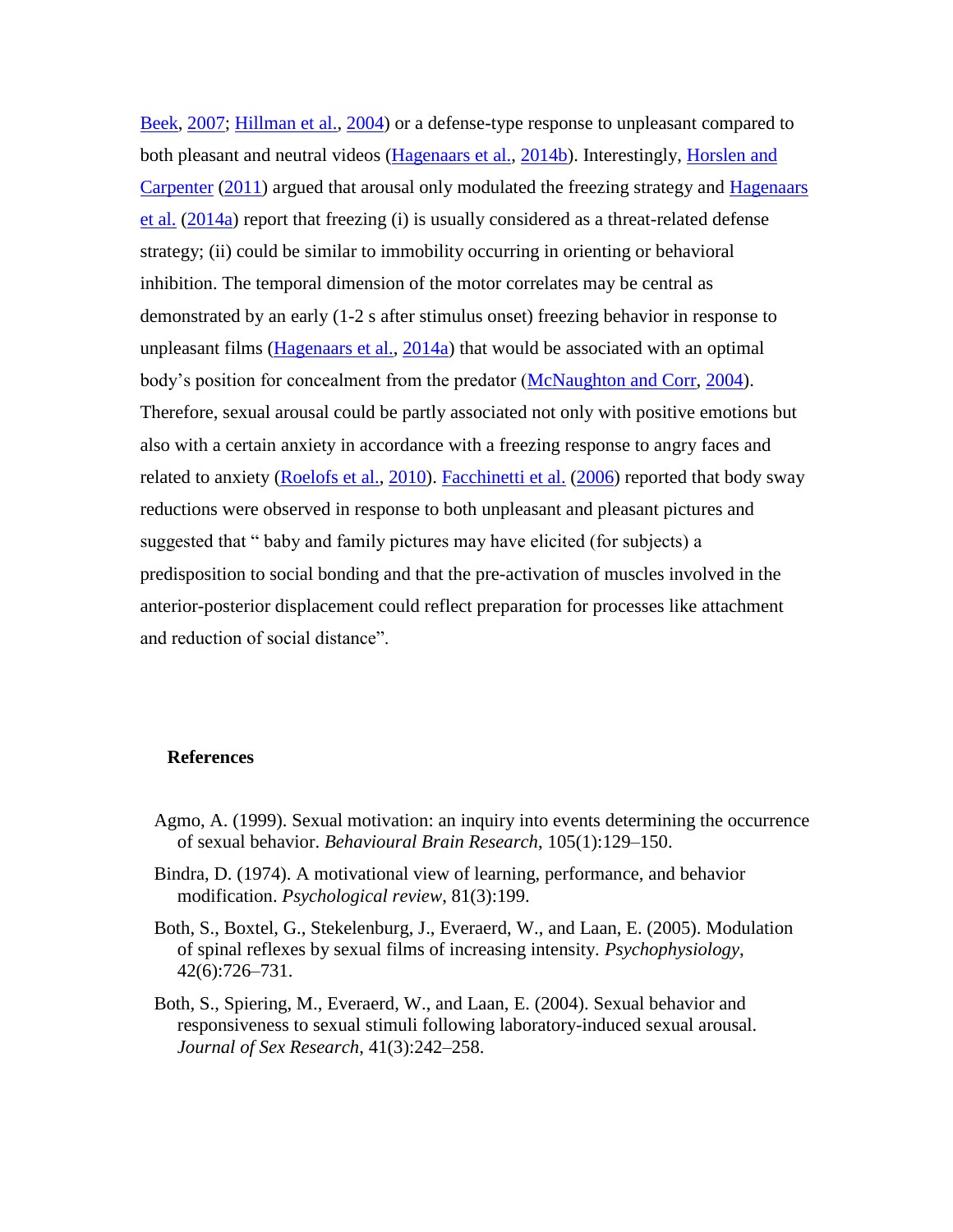Beek, 2007; Hillman et al., 2004) or a defense-type response to unpleasant compared to both pleasant and neutral videos (Hagenaars et al., 2014b). Interestingly, Horslen and Carpenter (2011) argued that arousal only modulated the freezing strategy and Hagenaars et al. (2014a) report that freezing (i) is usually considered as a threat-related defense strategy; (ii) could be similar to immobility occurring in orienting or behavioral inhibition. The temporal dimension of the motor correlates may be central as demonstrated by an early (1-2 s after stimulus onset) freezing behavior in response to unpleasant films (Hagenaars et al., 2014a) that would be associated with an optimal body's position for concealment from the predator (McNaughton and Corr, 2004). Therefore, sexual arousal could be partly associated not only with positive emotions but also with a certain anxiety in accordance with a freezing response to angry faces and related to anxiety (Roelofs et al., 2010). Facchinetti et al. (2006) reported that body sway reductions were observed in response to both unpleasant and pleasant pictures and suggested that " baby and family pictures may have elicited (for subjects) a predisposition to social bonding and that the pre-activation of muscles involved in the anterior-posterior displacement could reflect preparation for processes like attachment and reduction of social distance".

## **References**

- Agmo, A. (1999). Sexual motivation: an inquiry into events determining the occurrence of sexual behavior. *Behavioural Brain Research*, 105(1):129–150.
- Bindra, D. (1974). A motivational view of learning, performance, and behavior modification. *Psychological review*, 81(3):199.
- Both, S., Boxtel, G., Stekelenburg, J., Everaerd, W., and Laan, E. (2005). Modulation of spinal reflexes by sexual films of increasing intensity. *Psychophysiology*, 42(6):726–731.
- Both, S., Spiering, M., Everaerd, W., and Laan, E. (2004). Sexual behavior and responsiveness to sexual stimuli following laboratory-induced sexual arousal. *Journal of Sex Research*, 41(3):242–258.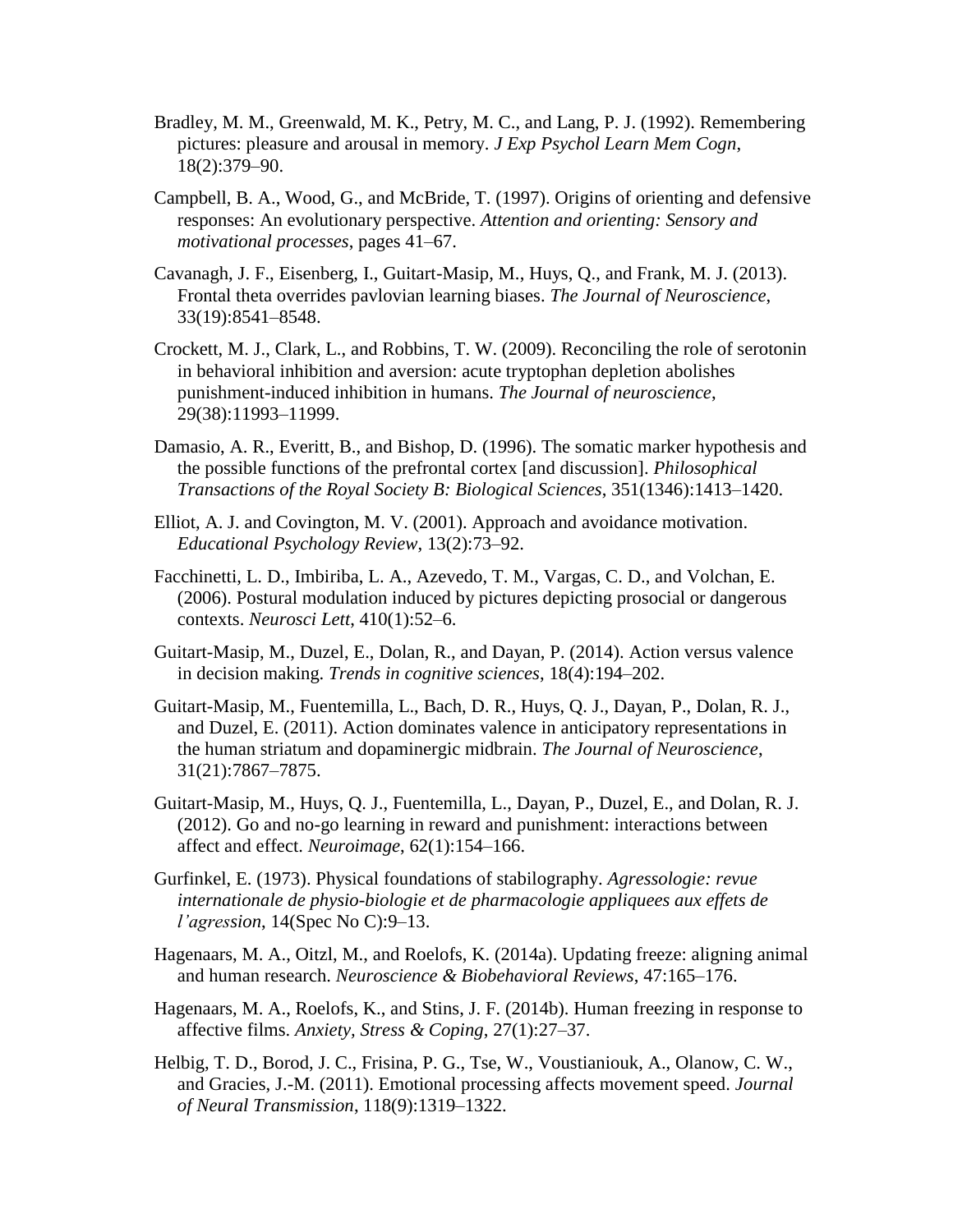- Bradley, M. M., Greenwald, M. K., Petry, M. C., and Lang, P. J. (1992). Remembering pictures: pleasure and arousal in memory. *J Exp Psychol Learn Mem Cogn*, 18(2):379–90.
- Campbell, B. A., Wood, G., and McBride, T. (1997). Origins of orienting and defensive responses: An evolutionary perspective. *Attention and orienting: Sensory and motivational processes*, pages 41–67.
- Cavanagh, J. F., Eisenberg, I., Guitart-Masip, M., Huys, Q., and Frank, M. J. (2013). Frontal theta overrides pavlovian learning biases. *The Journal of Neuroscience*, 33(19):8541–8548.
- Crockett, M. J., Clark, L., and Robbins, T. W. (2009). Reconciling the role of serotonin in behavioral inhibition and aversion: acute tryptophan depletion abolishes punishment-induced inhibition in humans. *The Journal of neuroscience*, 29(38):11993–11999.
- Damasio, A. R., Everitt, B., and Bishop, D. (1996). The somatic marker hypothesis and the possible functions of the prefrontal cortex [and discussion]. *Philosophical Transactions of the Royal Society B: Biological Sciences*, 351(1346):1413–1420.
- Elliot, A. J. and Covington, M. V. (2001). Approach and avoidance motivation. *Educational Psychology Review*, 13(2):73–92.
- Facchinetti, L. D., Imbiriba, L. A., Azevedo, T. M., Vargas, C. D., and Volchan, E. (2006). Postural modulation induced by pictures depicting prosocial or dangerous contexts. *Neurosci Lett*, 410(1):52–6.
- Guitart-Masip, M., Duzel, E., Dolan, R., and Dayan, P. (2014). Action versus valence in decision making. *Trends in cognitive sciences*, 18(4):194–202.
- Guitart-Masip, M., Fuentemilla, L., Bach, D. R., Huys, Q. J., Dayan, P., Dolan, R. J., and Duzel, E. (2011). Action dominates valence in anticipatory representations in the human striatum and dopaminergic midbrain. *The Journal of Neuroscience*, 31(21):7867–7875.
- Guitart-Masip, M., Huys, Q. J., Fuentemilla, L., Dayan, P., Duzel, E., and Dolan, R. J. (2012). Go and no-go learning in reward and punishment: interactions between affect and effect. *Neuroimage*, 62(1):154–166.
- Gurfinkel, E. (1973). Physical foundations of stabilography. *Agressologie: revue internationale de physio-biologie et de pharmacologie appliquees aux effets de l'agression*, 14(Spec No C):9–13.
- Hagenaars, M. A., Oitzl, M., and Roelofs, K. (2014a). Updating freeze: aligning animal and human research. *Neuroscience & Biobehavioral Reviews*, 47:165–176.
- Hagenaars, M. A., Roelofs, K., and Stins, J. F. (2014b). Human freezing in response to affective films. *Anxiety, Stress & Coping*, 27(1):27–37.
- Helbig, T. D., Borod, J. C., Frisina, P. G., Tse, W., Voustianiouk, A., Olanow, C. W., and Gracies, J.-M. (2011). Emotional processing affects movement speed. *Journal of Neural Transmission*, 118(9):1319–1322.